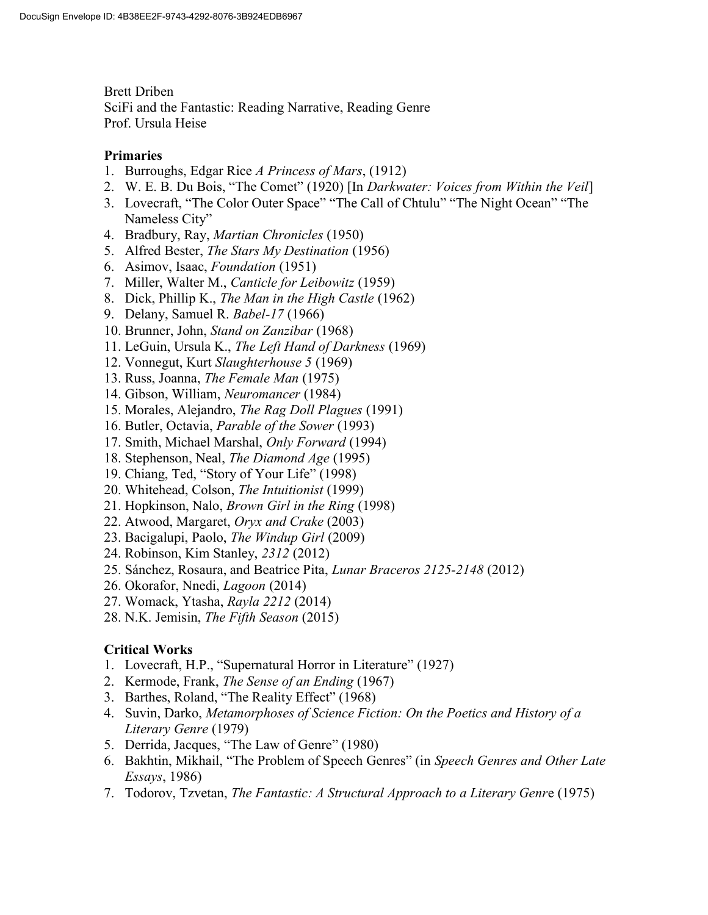Brett Driben SciFi and the Fantastic: Reading Narrative, Reading Genre Prof. Ursula Heise

## Primaries

- 1. Burroughs, Edgar Rice A Princess of Mars, (1912)
- 2. W. E. B. Du Bois, "The Comet" (1920) [In *Darkwater: Voices from Within the Veil*]
- 3. Lovecraft, "The Color Outer Space" "The Call of Chtulu" "The Night Ocean" "The Nameless City"
- 4. Bradbury, Ray, Martian Chronicles (1950)
- 5. Alfred Bester, The Stars My Destination (1956)
- 6. Asimov, Isaac, Foundation (1951)
- 7. Miller, Walter M., Canticle for Leibowitz (1959)
- 8. Dick, Phillip K., The Man in the High Castle (1962)
- 9. Delany, Samuel R. *Babel-17* (1966)
- 10. Brunner, John, Stand on Zanzibar (1968)
- 11. LeGuin, Ursula K., The Left Hand of Darkness (1969)
- 12. Vonnegut, Kurt Slaughterhouse 5 (1969)
- 13. Russ, Joanna, The Female Man (1975)
- 14. Gibson, William, Neuromancer (1984)
- 15. Morales, Alejandro, The Rag Doll Plagues (1991)
- 16. Butler, Octavia, Parable of the Sower (1993)
- 17. Smith, Michael Marshal, Only Forward (1994)
- 18. Stephenson, Neal, The Diamond Age (1995)
- 19. Chiang, Ted, "Story of Your Life" (1998)
- 20. Whitehead, Colson, The Intuitionist (1999)
- 21. Hopkinson, Nalo, Brown Girl in the Ring (1998)
- 22. Atwood, Margaret, Oryx and Crake (2003)
- 23. Bacigalupi, Paolo, The Windup Girl (2009)
- 24. Robinson, Kim Stanley, 2312 (2012)
- 25. Sánchez, Rosaura, and Beatrice Pita, Lunar Braceros 2125-2148 (2012)
- 26. Okorafor, Nnedi, Lagoon (2014)
- 27. Womack, Ytasha, Rayla 2212 (2014)
- 28. N.K. Jemisin, The Fifth Season (2015)

## Critical Works

- 1. Lovecraft, H.P., "Supernatural Horror in Literature" (1927)
- 2. Kermode, Frank, The Sense of an Ending (1967)
- 3. Barthes, Roland, "The Reality Effect" (1968)
- 4. Suvin, Darko, Metamorphoses of Science Fiction: On the Poetics and History of a Literary Genre (1979)
- 5. Derrida, Jacques, "The Law of Genre" (1980)
- 6. Bakhtin, Mikhail, "The Problem of Speech Genres" (in Speech Genres and Other Late Essays, 1986)
- 7. Todorov, Tzvetan, The Fantastic: A Structural Approach to a Literary Genre (1975)